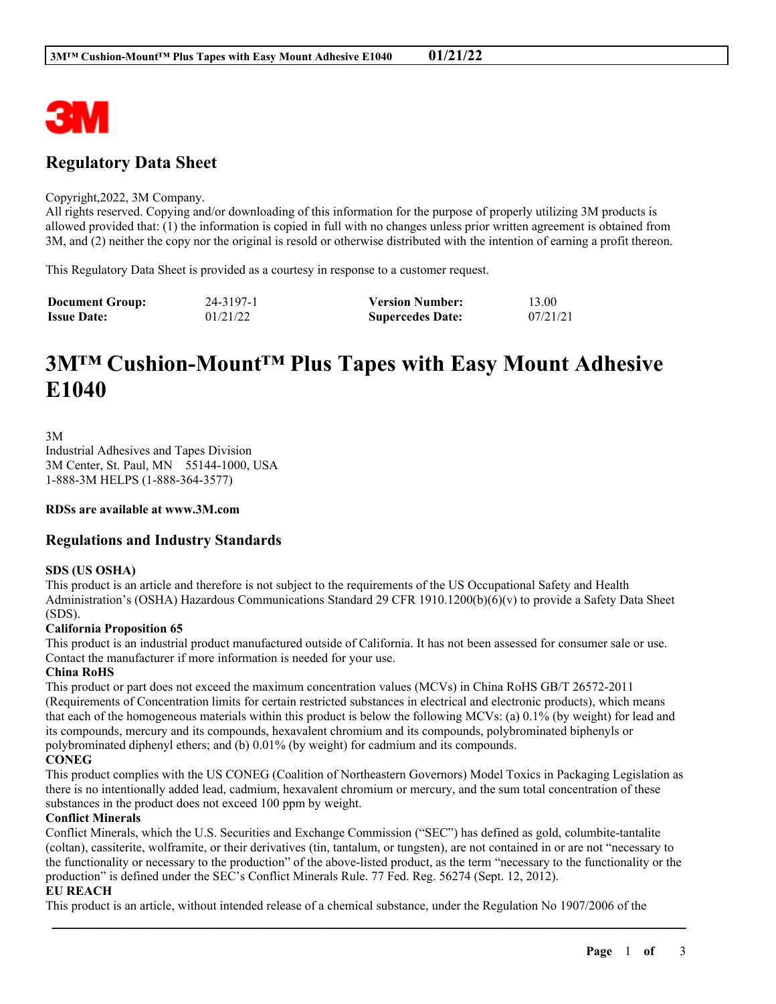

# **Regulatory Data Sheet**

#### Copyright,2022, 3M Company.

All rights reserved. Copying and/or downloading of this information for the purpose of properly utilizing 3M products is allowed provided that: (1) the information is copied in full with no changes unless prior written agreement is obtained from 3M, and (2) neither the copy nor the original is resold or otherwise distributed with the intention of earning a profit thereon.

This Regulatory Data Sheet is provided as a courtesy in response to a customer request.

| <b>Document Group:</b> | 24-3197-1 | <b>Version Number:</b>  | 13.00    |
|------------------------|-----------|-------------------------|----------|
| <b>Issue Date:</b>     | 01/21/22  | <b>Supercedes Date:</b> | 07/21/21 |

# **3M™ Cushion-Mount™ Plus Tapes with Easy Mount Adhesive E1040**

3M Industrial Adhesives and Tapes Division 3M Center, St. Paul, MN 55144-1000, USA 1-888-3M HELPS (1-888-364-3577)

**RDSs are available at www.3M.com**

## **Regulations and Industry Standards**

#### **SDS (US OSHA)**

This product is an article and therefore is not subject to the requirements of the US Occupational Safety and Health Administration's (OSHA) Hazardous Communications Standard 29 CFR 1910.1200(b)(6)(v) to provide a Safety Data Sheet (SDS).

#### **California Proposition 65**

This product is an industrial product manufactured outside of California. It has not been assessed for consumer sale or use. Contact the manufacturer if more information is needed for your use.

#### **China RoHS**

This product or part does not exceed the maximum concentration values (MCVs) in China RoHS GB/T 26572-2011 (Requirements of Concentration limits for certain restricted substances in electrical and electronic products), which means that each of the homogeneous materials within this product is below the following MCVs: (a) 0.1% (by weight) for lead and its compounds, mercury and its compounds, hexavalent chromium and its compounds, polybrominated biphenyls or polybrominated diphenyl ethers; and (b) 0.01% (by weight) for cadmium and its compounds.

#### **CONEG**

This product complies with the US CONEG (Coalition of Northeastern Governors) Model Toxics in Packaging Legislation as there is no intentionally added lead, cadmium, hexavalent chromium or mercury, and the sum total concentration of these substances in the product does not exceed 100 ppm by weight.

#### **Conflict Minerals**

Conflict Minerals, which the U.S. Securities and Exchange Commission ("SEC") has defined as gold, columbite-tantalite (coltan), cassiterite, wolframite, or their derivatives (tin, tantalum, or tungsten), are not contained in or are not "necessary to the functionality or necessary to the production" of the above-listed product, as the term "necessary to the functionality or the production" is defined under the SEC's Conflict Minerals Rule. 77 Fed. Reg. 56274 (Sept. 12, 2012).

\_\_\_\_\_\_\_\_\_\_\_\_\_\_\_\_\_\_\_\_\_\_\_\_\_\_\_\_\_\_\_\_\_\_\_\_\_\_\_\_\_\_\_\_\_\_\_\_\_\_\_\_\_\_\_\_\_\_\_\_\_\_\_\_\_\_\_\_\_\_\_\_\_\_\_\_\_\_\_\_\_\_\_\_\_\_\_\_\_\_

#### **EU REACH**

This product is an article, without intended release of a chemical substance, under the Regulation No 1907/2006 of the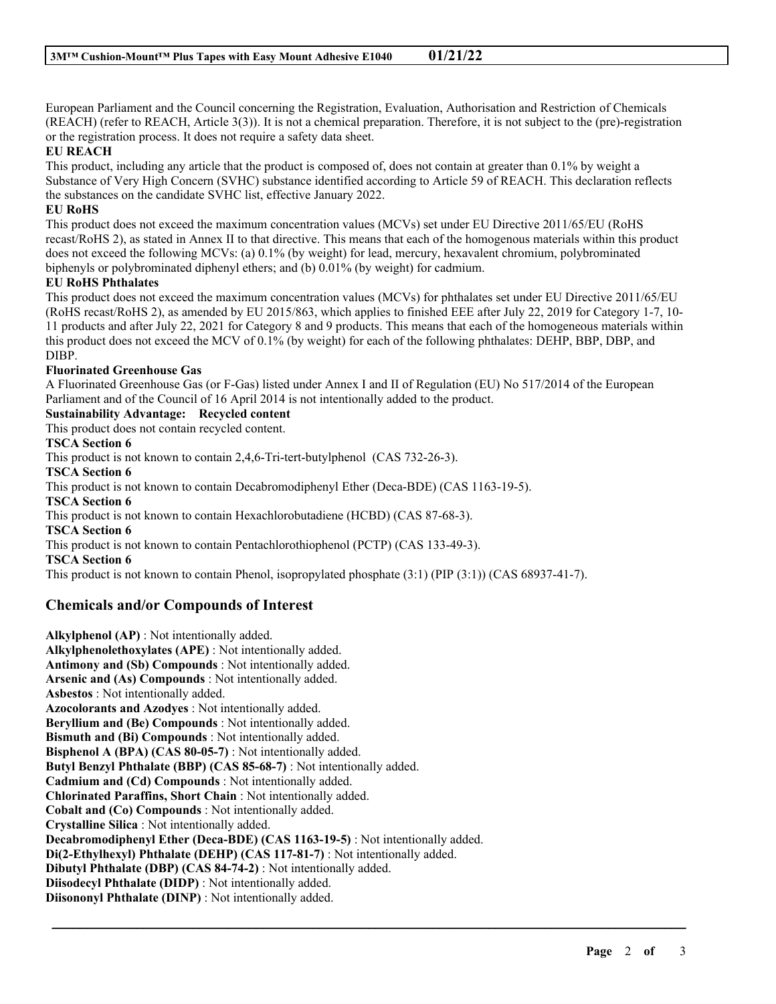European Parliament and the Council concerning the Registration, Evaluation, Authorisation and Restriction of Chemicals (REACH) (refer to REACH, Article 3(3)). It is not a chemical preparation. Therefore, it is not subject to the (pre)-registration or the registration process. It does not require a safety data sheet.

#### **EU REACH**

This product, including any article that the product is composed of, does not contain at greater than 0.1% by weight a Substance of Very High Concern (SVHC) substance identified according to Article 59 of REACH. This declaration reflects the substances on the candidate SVHC list, effective January 2022.

#### **EU RoHS**

This product does not exceed the maximum concentration values (MCVs) set under EU Directive 2011/65/EU (RoHS recast/RoHS 2), as stated in Annex II to that directive. This means that each of the homogenous materials within this product does not exceed the following MCVs: (a) 0.1% (by weight) for lead, mercury, hexavalent chromium, polybrominated biphenyls or polybrominated diphenyl ethers; and (b) 0.01% (by weight) for cadmium.

#### **EU RoHS Phthalates**

This product does not exceed the maximum concentration values (MCVs) for phthalates set under EU Directive 2011/65/EU (RoHS recast/RoHS 2), as amended by EU 2015/863, which applies to finished EEE after July 22, 2019 for Category 1-7, 10- 11 products and after July 22, 2021 for Category 8 and 9 products. This means that each of the homogeneous materials within this product does not exceed the MCV of 0.1% (by weight) for each of the following phthalates: DEHP, BBP, DBP, and DIBP.

#### **Fluorinated Greenhouse Gas**

A Fluorinated Greenhouse Gas (or F-Gas) listed under Annex I and II of Regulation (EU) No 517/2014 of the European Parliament and of the Council of 16 April 2014 is not intentionally added to the product.

#### **Sustainability Advantage: Recycled content**

This product does not contain recycled content.

#### **TSCA Section 6**

This product is not known to contain 2,4,6-Tri-tert-butylphenol (CAS 732-26-3).

**TSCA Section 6**

This product is not known to contain Decabromodiphenyl Ether (Deca-BDE) (CAS 1163-19-5).

**TSCA Section 6**

This product is not known to contain Hexachlorobutadiene (HCBD) (CAS 87-68-3).

**TSCA Section 6**

This product is not known to contain Pentachlorothiophenol (PCTP) (CAS 133-49-3).

**TSCA Section 6**

This product is not known to contain Phenol, isopropylated phosphate (3:1) (PIP (3:1)) (CAS 68937-41-7).

\_\_\_\_\_\_\_\_\_\_\_\_\_\_\_\_\_\_\_\_\_\_\_\_\_\_\_\_\_\_\_\_\_\_\_\_\_\_\_\_\_\_\_\_\_\_\_\_\_\_\_\_\_\_\_\_\_\_\_\_\_\_\_\_\_\_\_\_\_\_\_\_\_\_\_\_\_\_\_\_\_\_\_\_\_\_\_\_\_\_

## **Chemicals and/or Compounds of Interest**

**Alkylphenol (AP)** : Not intentionally added. **Alkylphenolethoxylates (APE)** : Not intentionally added. **Antimony and (Sb) Compounds** : Not intentionally added. **Arsenic and (As) Compounds** : Not intentionally added. **Asbestos** : Not intentionally added. **Azocolorants and Azodyes** : Not intentionally added. **Beryllium and (Be) Compounds** : Not intentionally added. **Bismuth and (Bi) Compounds** : Not intentionally added. **Bisphenol A (BPA) (CAS 80-05-7)** : Not intentionally added. **Butyl Benzyl Phthalate (BBP) (CAS 85-68-7)** : Not intentionally added. **Cadmium and (Cd) Compounds** : Not intentionally added. **Chlorinated Paraffins, Short Chain** : Not intentionally added. **Cobalt and (Co) Compounds** : Not intentionally added. **Crystalline Silica** : Not intentionally added. **Decabromodiphenyl Ether (Deca-BDE) (CAS 1163-19-5)** : Not intentionally added. **Di(2-Ethylhexyl) Phthalate (DEHP) (CAS 117-81-7)** : Not intentionally added. **Dibutyl Phthalate (DBP) (CAS 84-74-2)** : Not intentionally added. **Diisodecyl Phthalate (DIDP)** : Not intentionally added. **Diisononyl Phthalate (DINP)** : Not intentionally added.